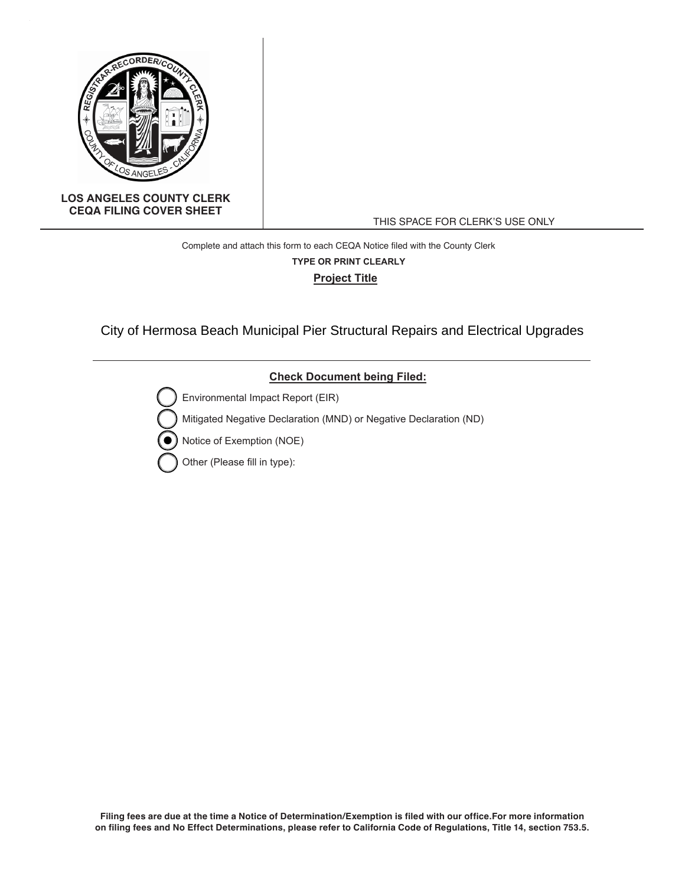

#### **LOS ANGELES COUNTY CLERK CEQA FILING COVER SHEET**

THIS SPACE FOR CLERK'S USE ONLY

# Complete and attach this form to each CEQA Notice filed with the County Clerk **Project Title TYPE OR PRINT CLEARLY**

City of Hermosa Beach Municipal Pier Structural Repairs and Electrical Upgrades

### **Check Document being Filed:**

Environmental Impact Report (EIR)

Mitigated Negative Declaration (MND) or Negative Declaration (ND)

Notice of Exemption (NOE)

Other (Please fill in type):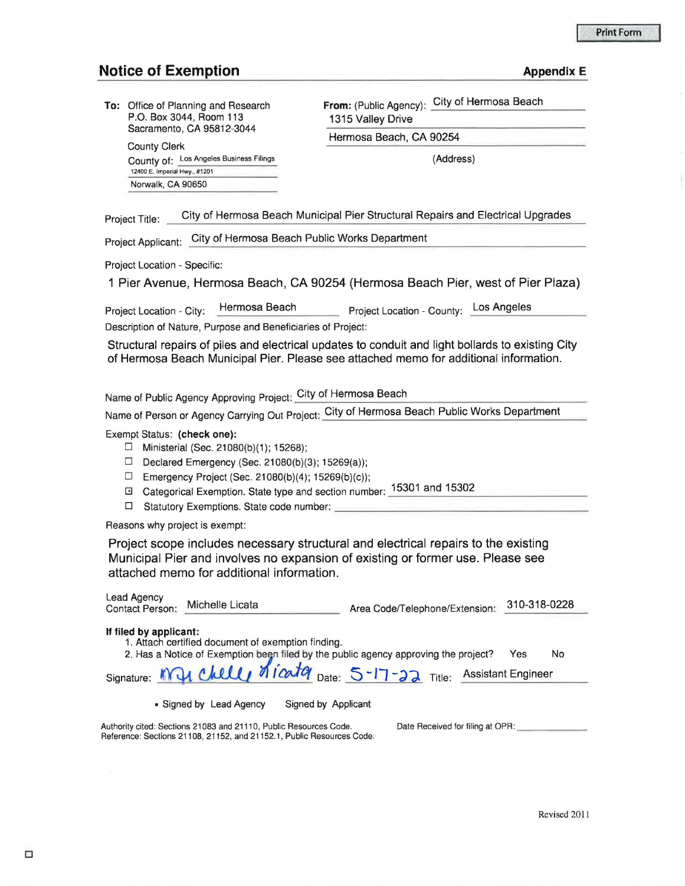#### **Notice of Exemption**

| Appendix E |  |
|------------|--|
|            |  |
|            |  |

| To: Office of Planning and Research |  |  |  |
|-------------------------------------|--|--|--|
| P.O. Box 3044, Room 113             |  |  |  |
| Sacramento, CA 95812-3044           |  |  |  |

County Clerk County of: Los Angeles Business Filings 12400 E. Imperial Hwy., #1201 Norwalk, CA 90650

**From:** (Public Agency): City of Hermosa Beach 1315 Valley Drive Hermosa Beach, CA 90254

(Address)

Project Title: City of Hermosa Beach Municipal Pier Structural Repairs and Electrical Upgrades

Project Applicant: City of Hermosa Beach Public Works Department

Project Location - Specific:

1 Pier Avenue, Hermosa Beach, CA 90254 (Hermosa Beach Pier, west of Pier Plaza)

Project Location - City: Hermosa Beach Project Location - County: Los Angeles

Description of Nature, Purpose and Beneficiaries of Project:

Structural repairs of piles and electrical updates to conduit and light bollards to existing City of Hermosa Beach Municipal Pier. Please see attached memo for additional information.

Name of Public Agency Approving Project: City of Hermosa Beach

Name of Person or Agency carrying Out Project: City of Hermosa Beach Public Works Department

Exempt Status: **(check one):** 

- $\Box$  Ministerial (Sec. 21080(b)(1); 15268);
- Declared Emergency (Sec. 21080(b)(3); 15269(a));
- $\Box$  Emergency Project (Sec. 21080(b)(4); 15269(b)(c));
- G Categorical Exemption. State type and section number: \_1\_5\_3\_0\_1 \_a\_n\_d\_1\_5\_3\_0\_2 \_ \_\_\_ \_\_\_\_ \_
- $\Box$  Calegorical Exemption. State type and section number: \_\_\_\_\_\_\_\_\_\_\_\_\_\_\_\_\_\_\_\_\_\_<br>  $\Box$  Statutory Exemptions. State code number: \_\_\_\_\_\_\_\_\_\_\_\_\_\_\_\_\_\_\_\_\_\_\_\_\_\_\_\_\_\_\_\_\_

Reference: Sections 21108, 21152, and 21152.1, Public Resources Code.

Reasons why project is exempt:

Project scope includes necessary structural and electrical repairs to the existing Municipal Pier and involves no expansion of existing or former use. Please see attached memo for additional information.

| Lead Agency<br>Michelle Licata<br><b>Contact Person:</b>                                                                                                                                                                 | Area Code/Telephone/Extension:   | 310-318-0228 |
|--------------------------------------------------------------------------------------------------------------------------------------------------------------------------------------------------------------------------|----------------------------------|--------------|
| If filed by applicant:<br>1. Attach certified document of exemption finding.<br>2. Has a Notice of Exemption been filed by the public agency approving the project?<br>Signature: My Chilly Micator Date: 5-17-22 Title: | Yes<br><b>Assistant Engineer</b> | No           |
| • Signed by Lead Agency<br>Signed by Applicant<br>Authority cited: Sections 21083 and 21110, Public Resources Code.                                                                                                      | Date Received for filing at OPR: |              |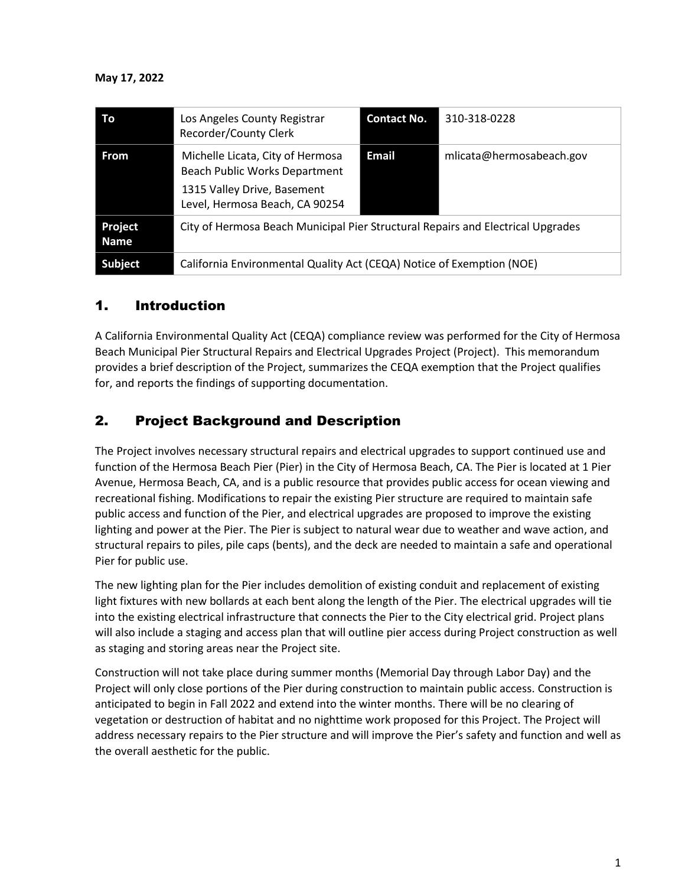| Τo              | Los Angeles County Registrar<br>Recorder/County Clerk                                                                              | <b>Contact No.</b> | 310-318-0228             |  |
|-----------------|------------------------------------------------------------------------------------------------------------------------------------|--------------------|--------------------------|--|
| <b>From</b>     | Michelle Licata, City of Hermosa<br>Beach Public Works Department<br>1315 Valley Drive, Basement<br>Level, Hermosa Beach, CA 90254 | Email              | mlicata@hermosabeach.gov |  |
| Project<br>Name | City of Hermosa Beach Municipal Pier Structural Repairs and Electrical Upgrades                                                    |                    |                          |  |
| <b>Subject</b>  | California Environmental Quality Act (CEQA) Notice of Exemption (NOE)                                                              |                    |                          |  |

# 1. Introduction

A California Environmental Quality Act (CEQA) compliance review was performed for the City of Hermosa Beach Municipal Pier Structural Repairs and Electrical Upgrades Project (Project). This memorandum provides a brief description of the Project, summarizes the CEQA exemption that the Project qualifies for, and reports the findings of supporting documentation.

# 2. Project Background and Description

The Project involves necessary structural repairs and electrical upgrades to support continued use and function of the Hermosa Beach Pier (Pier) in the City of Hermosa Beach, CA. The Pier is located at 1 Pier Avenue, Hermosa Beach, CA, and is a public resource that provides public access for ocean viewing and recreational fishing. Modifications to repair the existing Pier structure are required to maintain safe public access and function of the Pier, and electrical upgrades are proposed to improve the existing lighting and power at the Pier. The Pier is subject to natural wear due to weather and wave action, and structural repairs to piles, pile caps (bents), and the deck are needed to maintain a safe and operational Pier for public use.

The new lighting plan for the Pier includes demolition of existing conduit and replacement of existing light fixtures with new bollards at each bent along the length of the Pier. The electrical upgrades will tie into the existing electrical infrastructure that connects the Pier to the City electrical grid. Project plans will also include a staging and access plan that will outline pier access during Project construction as well as staging and storing areas near the Project site.

Construction will not take place during summer months (Memorial Day through Labor Day) and the Project will only close portions of the Pier during construction to maintain public access. Construction is anticipated to begin in Fall 2022 and extend into the winter months. There will be no clearing of vegetation or destruction of habitat and no nighttime work proposed for this Project. The Project will address necessary repairs to the Pier structure and will improve the Pier's safety and function and well as the overall aesthetic for the public.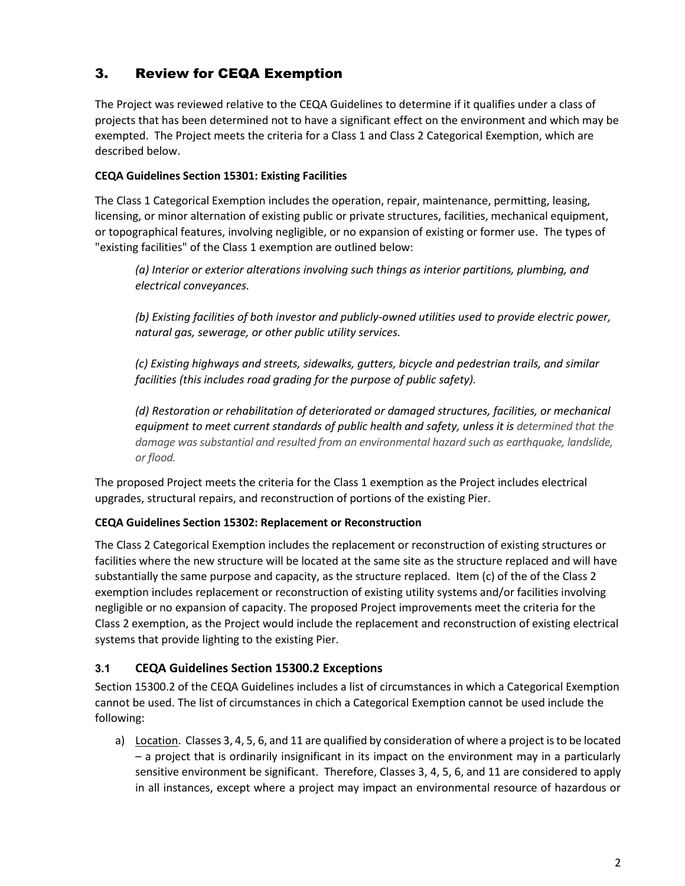# 3. Review for CEQA Exemption

The Project was reviewed relative to the CEQA Guidelines to determine if it qualifies under a class of projects that has been determined not to have a significant effect on the environment and which may be exempted. The Project meets the criteria for a Class 1 and Class 2 Categorical Exemption, which are described below.

### **CEQA Guidelines Section 15301: Existing Facilities**

The Class 1 Categorical Exemption includes the operation, repair, maintenance, permitting, leasing, licensing, or minor alternation of existing public or private structures, facilities, mechanical equipment, or topographical features, involving negligible, or no expansion of existing or former use. The types of "existing facilities" of the Class 1 exemption are outlined below:

*(a) Interior or exterior alterations involving such things as interior partitions, plumbing, and electrical conveyances.*

*(b) Existing facilities of both investor and publicly-owned utilities used to provide electric power, natural gas, sewerage, or other public utility services.*

*(c) Existing highways and streets, sidewalks, gutters, bicycle and pedestrian trails, and similar facilities (this includes road grading for the purpose of public safety).*

*(d) Restoration or rehabilitation of deteriorated or damaged structures, facilities, or mechanical equipment to meet current standards of public health and safety, unless it is determined that the damage was substantial and resulted from an environmental hazard such as earthquake, landslide, or flood.*

The proposed Project meets the criteria for the Class 1 exemption as the Project includes electrical upgrades, structural repairs, and reconstruction of portions of the existing Pier.

### **CEQA Guidelines Section 15302: Replacement or Reconstruction**

The Class 2 Categorical Exemption includes the replacement or reconstruction of existing structures or facilities where the new structure will be located at the same site as the structure replaced and will have substantially the same purpose and capacity, as the structure replaced. Item (c) of the of the Class 2 exemption includes replacement or reconstruction of existing utility systems and/or facilities involving negligible or no expansion of capacity. The proposed Project improvements meet the criteria for the Class 2 exemption, as the Project would include the replacement and reconstruction of existing electrical systems that provide lighting to the existing Pier.

### **3.1 CEQA Guidelines Section 15300.2 Exceptions**

Section 15300.2 of the CEQA Guidelines includes a list of circumstances in which a Categorical Exemption cannot be used. The list of circumstances in chich a Categorical Exemption cannot be used include the following:

a) Location. Classes 3, 4, 5, 6, and 11 are qualified by consideration of where a project is to be located – a project that is ordinarily insignificant in its impact on the environment may in a particularly sensitive environment be significant. Therefore, Classes 3, 4, 5, 6, and 11 are considered to apply in all instances, except where a project may impact an environmental resource of hazardous or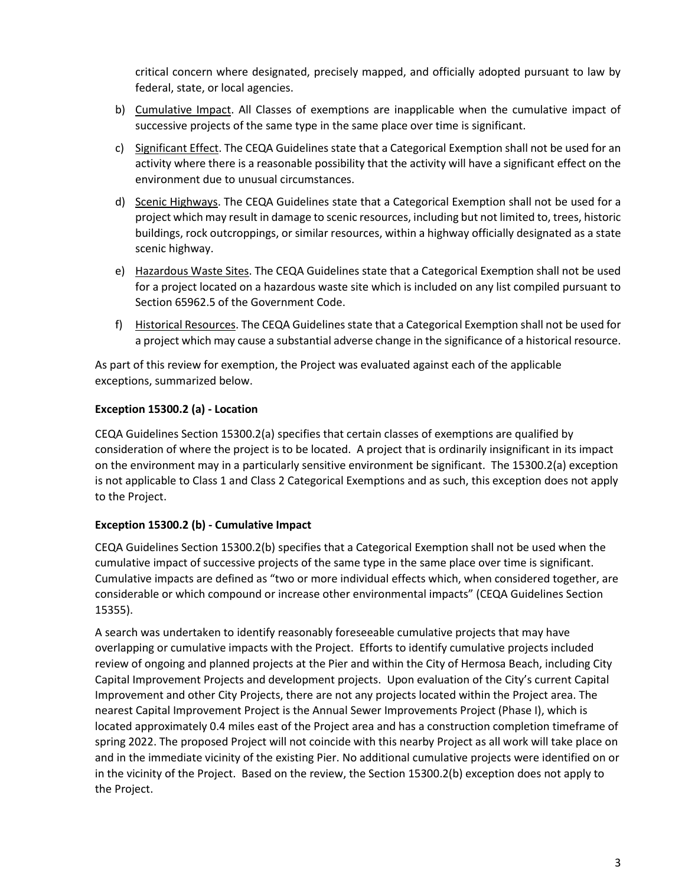critical concern where designated, precisely mapped, and officially adopted pursuant to law by federal, state, or local agencies.

- b) Cumulative Impact. All Classes of exemptions are inapplicable when the cumulative impact of successive projects of the same type in the same place over time is significant.
- c) Significant Effect. The CEQA Guidelines state that a Categorical Exemption shall not be used for an activity where there is a reasonable possibility that the activity will have a significant effect on the environment due to unusual circumstances.
- d) Scenic Highways. The CEQA Guidelines state that a Categorical Exemption shall not be used for a project which may result in damage to scenic resources, including but not limited to, trees, historic buildings, rock outcroppings, or similar resources, within a highway officially designated as a state scenic highway.
- e) Hazardous Waste Sites. The CEQA Guidelines state that a Categorical Exemption shall not be used for a project located on a hazardous waste site which is included on any list compiled pursuant to Section 65962.5 of the Government Code.
- f) Historical Resources. The CEQA Guidelines state that a Categorical Exemption shall not be used for a project which may cause a substantial adverse change in the significance of a historical resource.

As part of this review for exemption, the Project was evaluated against each of the applicable exceptions, summarized below.

### **Exception 15300.2 (a) - Location**

CEQA Guidelines Section 15300.2(a) specifies that certain classes of exemptions are qualified by consideration of where the project is to be located. A project that is ordinarily insignificant in its impact on the environment may in a particularly sensitive environment be significant. The 15300.2(a) exception is not applicable to Class 1 and Class 2 Categorical Exemptions and as such, this exception does not apply to the Project.

### **Exception 15300.2 (b) - Cumulative Impact**

CEQA Guidelines Section 15300.2(b) specifies that a Categorical Exemption shall not be used when the cumulative impact of successive projects of the same type in the same place over time is significant. Cumulative impacts are defined as "two or more individual effects which, when considered together, are considerable or which compound or increase other environmental impacts" (CEQA Guidelines Section 15355).

A search was undertaken to identify reasonably foreseeable cumulative projects that may have overlapping or cumulative impacts with the Project. Efforts to identify cumulative projects included review of ongoing and planned projects at the Pier and within the City of Hermosa Beach, including City Capital Improvement Projects and development projects. Upon evaluation of the City's current Capital Improvement and other City Projects, there are not any projects located within the Project area. The nearest Capital Improvement Project is the Annual Sewer Improvements Project (Phase I), which is located approximately 0.4 miles east of the Project area and has a construction completion timeframe of spring 2022. The proposed Project will not coincide with this nearby Project as all work will take place on and in the immediate vicinity of the existing Pier. No additional cumulative projects were identified on or in the vicinity of the Project. Based on the review, the Section 15300.2(b) exception does not apply to the Project.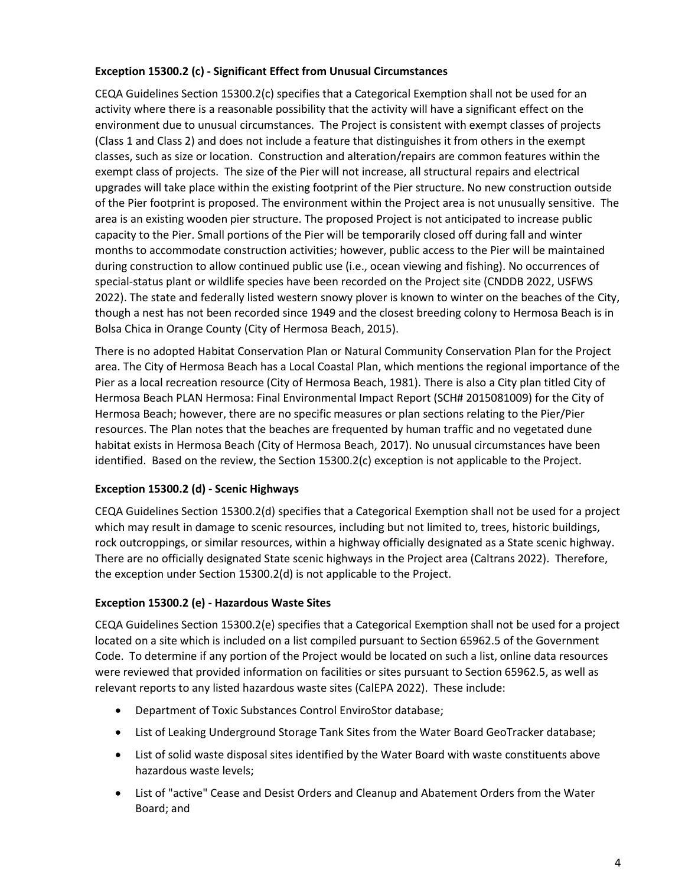#### **Exception 15300.2 (c) - Significant Effect from Unusual Circumstances**

CEQA Guidelines Section 15300.2(c) specifies that a Categorical Exemption shall not be used for an activity where there is a reasonable possibility that the activity will have a significant effect on the environment due to unusual circumstances. The Project is consistent with exempt classes of projects (Class 1 and Class 2) and does not include a feature that distinguishes it from others in the exempt classes, such as size or location. Construction and alteration/repairs are common features within the exempt class of projects. The size of the Pier will not increase, all structural repairs and electrical upgrades will take place within the existing footprint of the Pier structure. No new construction outside of the Pier footprint is proposed. The environment within the Project area is not unusually sensitive. The area is an existing wooden pier structure. The proposed Project is not anticipated to increase public capacity to the Pier. Small portions of the Pier will be temporarily closed off during fall and winter months to accommodate construction activities; however, public access to the Pier will be maintained during construction to allow continued public use (i.e., ocean viewing and fishing). No occurrences of special-status plant or wildlife species have been recorded on the Project site (CNDDB 2022, USFWS 2022). The state and federally listed western snowy plover is known to winter on the beaches of the City, though a nest has not been recorded since 1949 and the closest breeding colony to Hermosa Beach is in Bolsa Chica in Orange County (City of Hermosa Beach, 2015).

There is no adopted Habitat Conservation Plan or Natural Community Conservation Plan for the Project area. The City of Hermosa Beach has a Local Coastal Plan, which mentions the regional importance of the Pier as a local recreation resource (City of Hermosa Beach, 1981). There is also a City plan titled City of Hermosa Beach PLAN Hermosa: Final Environmental Impact Report (SCH# 2015081009) for the City of Hermosa Beach; however, there are no specific measures or plan sections relating to the Pier/Pier resources. The Plan notes that the beaches are frequented by human traffic and no vegetated dune habitat exists in Hermosa Beach (City of Hermosa Beach, 2017). No unusual circumstances have been identified. Based on the review, the Section 15300.2(c) exception is not applicable to the Project.

### **Exception 15300.2 (d) - Scenic Highways**

CEQA Guidelines Section 15300.2(d) specifies that a Categorical Exemption shall not be used for a project which may result in damage to scenic resources, including but not limited to, trees, historic buildings, rock outcroppings, or similar resources, within a highway officially designated as a State scenic highway. There are no officially designated State scenic highways in the Project area (Caltrans 2022). Therefore, the exception under Section 15300.2(d) is not applicable to the Project.

#### **Exception 15300.2 (e) - Hazardous Waste Sites**

CEQA Guidelines Section 15300.2(e) specifies that a Categorical Exemption shall not be used for a project located on a site which is included on a list compiled pursuant to Section 65962.5 of the Government Code. To determine if any portion of the Project would be located on such a list, online data resources were reviewed that provided information on facilities or sites pursuant to Section 65962.5, as well as relevant reports to any listed hazardous waste sites (CalEPA 2022). These include:

- Department of Toxic Substances Control EnviroStor database;
- List of Leaking Underground Storage Tank Sites from the Water Board GeoTracker database;
- List of solid waste disposal sites identified by the Water Board with waste constituents above hazardous waste levels;
- List of "active" Cease and Desist Orders and Cleanup and Abatement Orders from the Water Board; and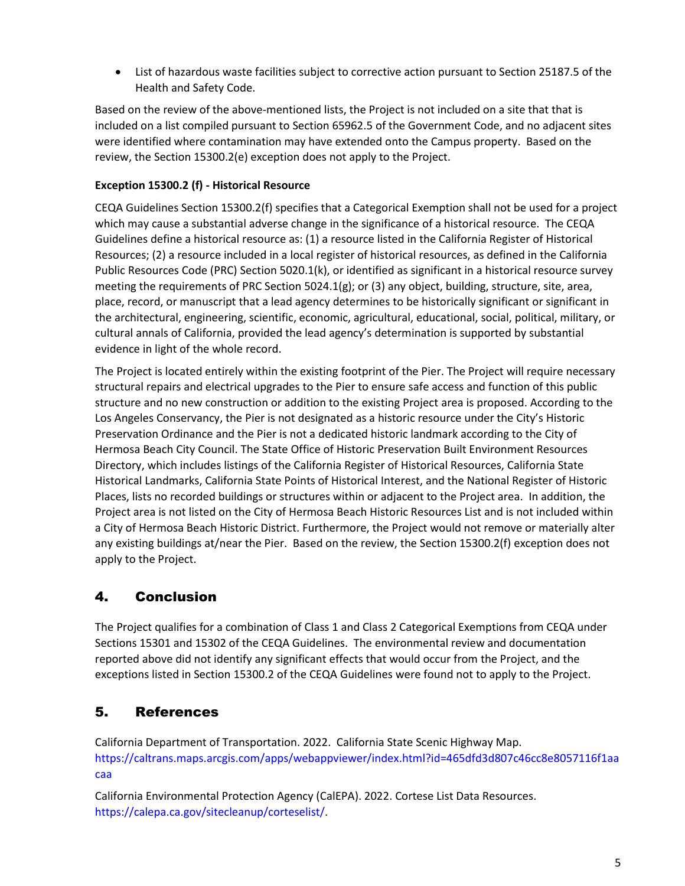• List of hazardous waste facilities subject to corrective action pursuant to Section 25187.5 of the Health and Safety Code.

Based on the review of the above-mentioned lists, the Project is not included on a site that that is included on a list compiled pursuant to Section 65962.5 of the Government Code, and no adjacent sites were identified where contamination may have extended onto the Campus property. Based on the review, the Section 15300.2(e) exception does not apply to the Project.

### **Exception 15300.2 (f) - Historical Resource**

CEQA Guidelines Section 15300.2(f) specifies that a Categorical Exemption shall not be used for a project which may cause a substantial adverse change in the significance of a historical resource. The CEQA Guidelines define a historical resource as: (1) a resource listed in the California Register of Historical Resources; (2) a resource included in a local register of historical resources, as defined in the California Public Resources Code (PRC) Section 5020.1(k), or identified as significant in a historical resource survey meeting the requirements of PRC Section 5024.1(g); or (3) any object, building, structure, site, area, place, record, or manuscript that a lead agency determines to be historically significant or significant in the architectural, engineering, scientific, economic, agricultural, educational, social, political, military, or cultural annals of California, provided the lead agency's determination is supported by substantial evidence in light of the whole record.

The Project is located entirely within the existing footprint of the Pier. The Project will require necessary structural repairs and electrical upgrades to the Pier to ensure safe access and function of this public structure and no new construction or addition to the existing Project area is proposed. According to the Los Angeles Conservancy, the Pier is not designated as a historic resource under the City's Historic Preservation Ordinance and the Pier is not a dedicated historic landmark according to the City of Hermosa Beach City Council. The State Office of Historic Preservation Built Environment Resources Directory, which includes listings of the California Register of Historical Resources, California State Historical Landmarks, California State Points of Historical Interest, and the National Register of Historic Places, lists no recorded buildings or structures within or adjacent to the Project area. In addition, the Project area is not listed on the City of Hermosa Beach Historic Resources List and is not included within a City of Hermosa Beach Historic District. Furthermore, the Project would not remove or materially alter any existing buildings at/near the Pier. Based on the review, the Section 15300.2(f) exception does not apply to the Project.

# 4. Conclusion

The Project qualifies for a combination of Class 1 and Class 2 Categorical Exemptions from CEQA under Sections 15301 and 15302 of the CEQA Guidelines. The environmental review and documentation reported above did not identify any significant effects that would occur from the Project, and the exceptions listed in Section 15300.2 of the CEQA Guidelines were found not to apply to the Project.

# 5. References

California Department of Transportation. 2022. California State Scenic Highway Map. https://caltrans.maps.arcgis.com/apps/webappviewer/index.html?id=465dfd3d807c46cc8e8057116f1aa caa

California Environmental Protection Agency (CalEPA). 2022. Cortese List Data Resources. [https://calepa.ca.gov/sitecleanup/corteselist/.](https://calepa.ca.gov/sitecleanup/corteselist/)